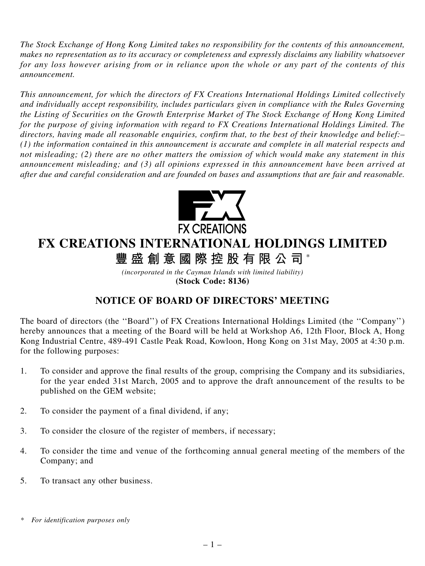*The Stock Exchange of Hong Kong Limited takes no responsibility for the contents of this announcement, makes no representation as to its accuracy or completeness and expressly disclaims any liability whatsoever for any loss however arising from or in reliance upon the whole or any part of the contents of this announcement.*

*This announcement, for which the directors of FX Creations International Holdings Limited collectively and individually accept responsibility, includes particulars given in compliance with the Rules Governing the Listing of Securities on the Growth Enterprise Market of The Stock Exchange of Hong Kong Limited for the purpose of giving information with regard to FX Creations International Holdings Limited. The directors, having made all reasonable enquiries, confirm that, to the best of their knowledge and belief:– (1) the information contained in this announcement is accurate and complete in all material respects and not misleading; (2) there are no other matters the omission of which would make any statement in this announcement misleading; and (3) all opinions expressed in this announcement have been arrived at after due and careful consideration and are founded on bases and assumptions that are fair and reasonable.*



## **FX CREATIONS INTERNATIONAL HOLDINGS LIMITED**

**豐盛創意國際控股有限公司** \*

*(incorporated in the Cayman Islands with limited liability)* **(Stock Code: 8136)**

## **NOTICE OF BOARD OF DIRECTORS' MEETING**

The board of directors (the ''Board'') of FX Creations International Holdings Limited (the ''Company'') hereby announces that a meeting of the Board will be held at Workshop A6, 12th Floor, Block A, Hong Kong Industrial Centre, 489-491 Castle Peak Road, Kowloon, Hong Kong on 31st May, 2005 at 4:30 p.m. for the following purposes:

- 1. To consider and approve the final results of the group, comprising the Company and its subsidiaries, for the year ended 31st March, 2005 and to approve the draft announcement of the results to be published on the GEM website;
- 2. To consider the payment of a final dividend, if any;
- 3. To consider the closure of the register of members, if necessary;
- 4. To consider the time and venue of the forthcoming annual general meeting of the members of the Company; and
- 5. To transact any other business.

*<sup>\*</sup> For identification purposes only*